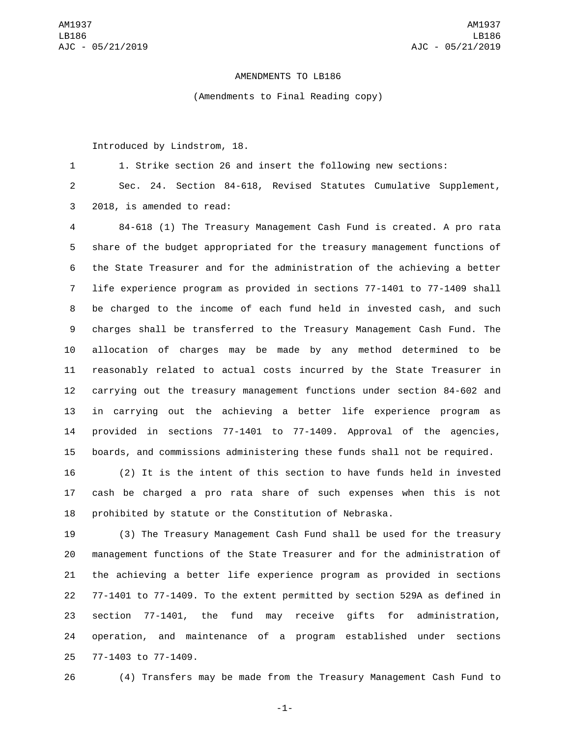## AMENDMENTS TO LB186

(Amendments to Final Reading copy)

Introduced by Lindstrom, 18.

1. Strike section 26 and insert the following new sections:

 Sec. 24. Section 84-618, Revised Statutes Cumulative Supplement, 3 2018, is amended to read:

 84-618 (1) The Treasury Management Cash Fund is created. A pro rata share of the budget appropriated for the treasury management functions of the State Treasurer and for the administration of the achieving a better life experience program as provided in sections 77-1401 to 77-1409 shall be charged to the income of each fund held in invested cash, and such charges shall be transferred to the Treasury Management Cash Fund. The allocation of charges may be made by any method determined to be reasonably related to actual costs incurred by the State Treasurer in carrying out the treasury management functions under section 84-602 and in carrying out the achieving a better life experience program as provided in sections 77-1401 to 77-1409. Approval of the agencies, boards, and commissions administering these funds shall not be required.

 (2) It is the intent of this section to have funds held in invested cash be charged a pro rata share of such expenses when this is not prohibited by statute or the Constitution of Nebraska.

 (3) The Treasury Management Cash Fund shall be used for the treasury management functions of the State Treasurer and for the administration of the achieving a better life experience program as provided in sections 77-1401 to 77-1409. To the extent permitted by section 529A as defined in section 77-1401, the fund may receive gifts for administration, operation, and maintenance of a program established under sections 25 77-1403 to 77-1409.

(4) Transfers may be made from the Treasury Management Cash Fund to

-1-